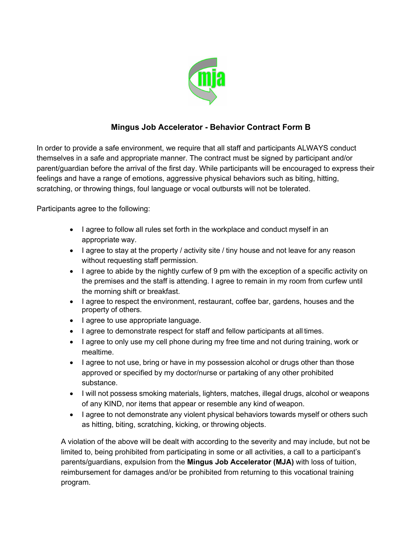

## **Mingus Job Accelerator - Behavior Contract Form B**

In order to provide a safe environment, we require that all staff and participants ALWAYS conduct themselves in a safe and appropriate manner. The contract must be signed by participant and/or parent/guardian before the arrival of the first day. While participants will be encouraged to express their feelings and have a range of emotions, aggressive physical behaviors such as biting, hitting, scratching, or throwing things, foul language or vocal outbursts will not be tolerated.

Participants agree to the following:

- I agree to follow all rules set forth in the workplace and conduct myself in an appropriate way.
- I agree to stay at the property / activity site / tiny house and not leave for any reason without requesting staff permission.
- I agree to abide by the nightly curfew of 9 pm with the exception of a specific activity on the premises and the staff is attending. I agree to remain in my room from curfew until the morning shift or breakfast.
- I agree to respect the environment, restaurant, coffee bar, gardens, houses and the property of others.
- I agree to use appropriate language.
- I agree to demonstrate respect for staff and fellow participants at all times.
- I agree to only use my cell phone during my free time and not during training, work or mealtime.
- I agree to not use, bring or have in my possession alcohol or drugs other than those approved or specified by my doctor/nurse or partaking of any other prohibited substance.
- I will not possess smoking materials, lighters, matches, illegal drugs, alcohol or weapons of any KIND, nor items that appear or resemble any kind of weapon.
- I agree to not demonstrate any violent physical behaviors towards myself or others such as hitting, biting, scratching, kicking, or throwing objects.

A violation of the above will be dealt with according to the severity and may include, but not be limited to, being prohibited from participating in some or all activities, a call to a participant's parents/guardians, expulsion from the **Mingus Job Accelerator (MJA)** with loss of tuition, reimbursement for damages and/or be prohibited from returning to this vocational training program.